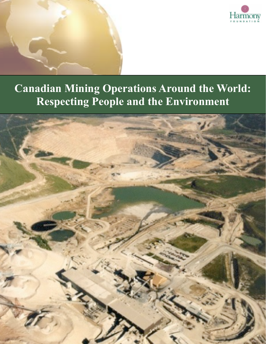

# **Canadian Mining Operations Around the World: Respecting People and the Environment**

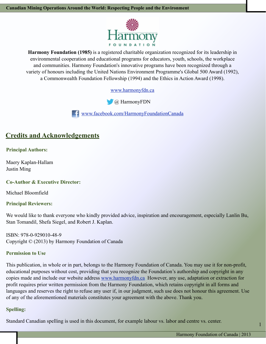

**Harmony Foundation (1985)** is a registered charitable organization recognized for its leadership in environmental cooperation and educational programs for educators, youth, schools, the workplace and communities. Harmony Foundation's innovative programs have been recognized through a variety of honours including the United Nations Environment Programme's Global 500 Award (1992), a Commonwealth Foundation Fellowship (1994) and the Ethics in Action Award (1998).

[www.harmonyfdn.ca](http://www.harmonyfdn.ca)



[www.facebook.com/HarmonyFoundationCanada](https://www.facebook.com/HarmonyFoundationCanada)

# **Credits and Acknowledgements**

#### **Principal Authors:**

Maery Kaplan-Hallam Justin Ming

#### **Co-Author & Executive Director:**

Michael Bloomfield

#### **Principal Reviewers:**

We would like to thank everyone who kindly provided advice, inspiration and encouragement, especially Lanlin Bu, Stan Tomandil, Shefa Siegel, and Robert J. Kaplan.

ISBN: 978-0-929010-48-9 Copyright © (2013) by Harmony Foundation of Canada

#### **Permission to Use**

This publication, in whole or in part, belongs to the Harmony Foundation of Canada. You may use it for non-profit, educational purposes without cost, providing that you recognize the Foundation's authorship and copyright in any copies made and include our website address www.harmonyfdn.ca However, any use, adaptation or extraction for profit requires prior written permission from the Harmony Foundation, which retains copyright in all forms and languages and reserves the right to refuse any user if, in our judgment, such use does not honour this agreement. Use of any of the aforementioned materials constitutes your agreement with the above. Thank you.

#### **Spelling:**

Standard Canadian spelling is used in this document, for example labour vs. labor and centre vs. center.

1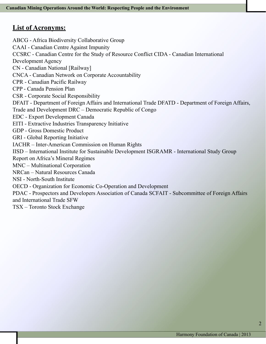# **List of Acronyms:**

ABCG - Africa Biodiversity Collaborative Group CAAI - Canadian Centre Against Impunity CCSRC - Canadian Centre for the Study of Resource Conflict CIDA - Canadian International Development Agency CN - Canadian National [Railway] CNCA - Canadian Network on Corporate Accountability CPR - Canadian Pacific Railway CPP - Canada Pension Plan CSR - Corporate Social Responsibility DFAIT - Department of Foreign Affairs and International Trade DFATD - Department of Foreign Affairs, Trade and Development DRC – Democratic Republic of Congo EDC - Export Development Canada EITI - Extractive Industries Transparency Initiative GDP - Gross Domestic Product GRI - Global Reporting Initiative IACHR – Inter-American Commission on Human Rights IISD – International Institute for Sustainable Development ISGRAMR - International Study Group Report on Africa's Mineral Regimes MNC – Multinational Corporation NRCan – Natural Resources Canada NSI - North-South Institute OECD - Organization for Economic Co-Operation and Development PDAC - Prospectors and Developers Association of Canada SCFAIT - Subcommittee of Foreign Affairs and International Trade SFW TSX – Toronto Stock Exchange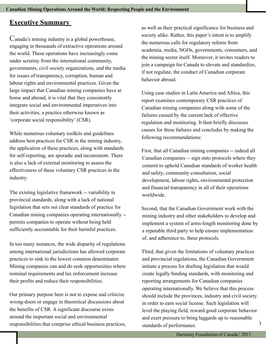# **Executive Summary**

Canada's mining industry is a global powerhouse, engaging in thousands of extractive operations around the world. These operations have increasingly come under scrutiny from the international community, governments, civil society organizations, and the media for issues of transparency, corruption, human and labour rights and environmental practices. Given the large impact that Canadian mining companies have at home and abroad, it is vital that they consistently integrate social and environmental imperatives into their activities, a practice otherwise known as 'corporate social responsibility' (CSR).

While numerous voluntary toolkits and guidelines address best practices for CSR in the mining industry, the application of these practices, along with standards for self-reporting, are sporadic and inconsistent. There is also a lack of external monitoring to assess the effectiveness of these voluntary CSR practices in the industry.

The existing legislative framework -- variability in provincial standards, along with a lack of national legislation that sets out clear standards of practice for Canadian mining companies operating internationally - permits companies to operate without being held sufficiently accountable for their harmful practices.

In too many instances, the wide disparity of regulations among international jurisdictions has allowed corporate practices to sink to the lowest common denominator. Mining companies can and do seek opportunities where nominal requirements and lax enforcement increase their profits and reduce their responsibilities.

Our primary purpose here is not to expose and criticize wrong-doers or engage in theoretical discussions about the benefits of CSR. A significant discourse exists around the important social and environmental responsibilities that comprise ethical business practices,

as well as their practical significance for business and society alike. Rather, this paper's intent is to amplify the numerous calls for regulatory reform from academia, media, NGOs, governments, consumers, and the mining sector itself. Moreover, it invites readers to join a campaign for Canada to elevate and standardize, if not regulate, the conduct of Canadian corporate behavior abroad.

Using case studies in Latin America and Africa, this report examines contemporary CSR practices of Canadian mining companies along with some of the failures caused by the current lack of effective regulation and monitoring. It then briefly discusses causes for these failures and concludes by making the following recommendations:

First, that all Canadian mining companies -- indeed all Canadian companies -- sign onto protocols where they commit to uphold Canadian standards of worker health and safety, community consultation, social development, labour rights, environmental protection and financial transparency in all of their operations worldwide.

Second, that the Canadian Government work with the mining industry and other stakeholders to develop and implement a system of arms-length monitoring done by a reputable third party to help ensure implementation of, and adherence to, these protocols.

Third, that given the limitations of voluntary practices and provincial regulations, the Canadian Government initiate a process for drafting legislation that would create legally binding standards, with monitoring and reporting arrangements for Canadian companies operating internationally. We believe that this process should include the provinces, industry and civil society in order to earn social license. Such legislation will level the playing field, reward good corporate behavior and exert pressure to bring laggards up to reasonable standards of performance.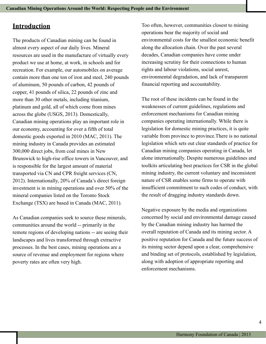# **Introduction**

The products of Canadian mining can be found in almost every aspect of our daily lives. Mineral resources are used in the manufacture of virtually every product we use at home, at work, in schools and for recreation. For example, our automobiles on average contain more than one ton of iron and steel, 240 pounds of aluminum, 50 pounds of carbon, 42 pounds of copper, 41 pounds of silica, 22 pounds of zinc and more than 30 other metals, including titanium, platinum and gold, all of which come from mines across the globe (USGS, 2013). Domestically, Canadian mining operations play an important role in our economy, accounting for over a fifth of total domestic goods exported in 2010 (MAC, 2011). The mining industry in Canada provides an estimated 300,000 direct jobs, from coal mines in New Brunswick to high-rise office towers in Vancouver, and is responsible for the largest amount of material transported via CN and CPR freight services (CN, 2012). Internationally, 20% of Canada's direct foreign investment is in mining operations and over 50% of the mineral companies listed on the Toronto Stock Exchange (TSX) are based in Canada (MAC, 2011).

As Canadian companies seek to source these minerals, communities around the world -- primarily in the remote regions of developing nations -- are seeing their landscapes and lives transformed through extractive processes. In the best cases, mining operations are a source of revenue and employment for regions where poverty rates are often very high.

Too often, however, communities closest to mining operations bear the majority of social and environmental costs for the smallest economic benefit along the allocation chain. Over the past several decades, Canadian companies have come under increasing scrutiny for their connections to human rights and labour violations, social unrest, environmental degradation, and lack of transparent financial reporting and accountability.

The root of these incidents can be found in the weaknesses of current guidelines, regulations and enforcement mechanisms for Canadian mining companies operating internationally. While there is legislation for domestic mining practices, it is quite variable from province to province.There is no national legislation which sets out clear standards of practice for Canadian mining companies operating in Canada, let alone internationally. Despite numerous guidelines and toolkits articulating best practices for CSR in the global mining industry, the current voluntary and inconsistent nature of CSR enables some firms to operate with insufficient commitment to such codes of conduct, with the result of dragging industry standards down.

Negative exposure by the media and organizations concerned by social and environmental damage caused by the Canadian mining industry has harmed the overall reputation of Canada and its mining sector. A positive reputation for Canada and the future success of its mining sector depend upon a clear, comprehensive and binding set of protocols, established by legislation, along with adoption of appropriate reporting and enforcement mechanisms.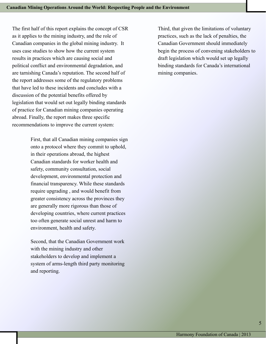The first half of this report explains the concept of CSR as it applies to the mining industry, and the role of Canadian companies in the global mining industry. It uses case studies to show how the current system results in practices which are causing social and political conflict and environmental degradation, and are tarnishing Canada's reputation. The second half of the report addresses some of the regulatory problems that have led to these incidents and concludes with a discussion of the potential benefits offered by legislation that would set out legally binding standards of practice for Canadian mining companies operating abroad. Finally, the report makes three specific recommendations to improve the current system:

> First, that all Canadian mining companies sign onto a protocol where they commit to uphold, in their operations abroad, the highest Canadian standards for worker health and safety, community consultation, social development, environmental protection and financial transparency. While these standards require upgrading , and would benefit from greater consistency across the provinces they are generally more rigorous than those of developing countries, where current practices too often generate social unrest and harm to environment, health and safety.

Second, that the Canadian Government work with the mining industry and other stakeholders to develop and implement a system of arms-length third party monitoring and reporting.

Third, that given the limitations of voluntary practices, such as the lack of penalties, the Canadian Government should immediately begin the process of convening stakeholders to draft legislation which would set up legally binding standards for Canada's international mining companies.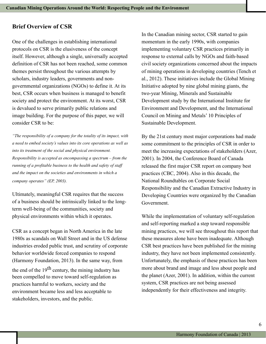#### **Brief Overview of CSR**

One of the challenges in establishing international protocols on CSR is the elusiveness of the concept itself. However, although a single, universally accepted definition of CSR has not been reached, some common themes persist throughout the various attempts by scholars, industry leaders, governments and nongovernmental organizations (NGOs) to define it. At its best, CSR occurs when business is managed to benefit society and protect the environment. At its worst, CSR is devalued to serve primarily public relations and image building. For the purpose of this paper, we will consider CSR to be:

*"The responsibility of a company for the totality of its impact, with a need to embed society's values into its core operations as well as into its treatment of the social and physical environment. Responsibility is accepted as encompassing a spectrum – from the running of a profitable business to the health and safety of staff and the impact on the societies and environments in which a company operates" (EP, 2003).*

Ultimately, meaningful CSR requires that the success of a business should be intrinsically linked to the longterm well-being of the communities, society and physical environments within which it operates.

CSR as a concept began in North America in the late 1980s as scandals on Wall Street and in the US defense industries eroded public trust, and scrutiny of corporate behavior worldwide forced companies to respond (Harmony Foundation, 2013). In the same way, from

the end of the  $19<sup>th</sup>$  century, the mining industry has been compelled to move toward self-regulation as practices harmful to workers, society and the environment became less and less acceptable to stakeholders, investors, and the public.

In the Canadian mining sector, CSR started to gain momentum in the early 1990s, with companies implementing voluntary CSR practices primarily in response to external calls by NGOs and faith-based civil society organizations concerned about the impacts of mining operations in developing countries (Tench et al., 2012). These initiatives include the Global Mining Initiative adopted by nine global mining giants, the two-year Mining, Minerals and Sustainable Development study by the International Institute for Environment and Development, and the International Council on Mining and Metals' 10 Principles of Sustainable Development.

By the 21st century most major corporations had made some commitment to the principles of CSR in order to meet the increasing expectations of stakeholders (Azer, 2001). In 2004, the Conference Board of Canada released the first major CSR report on company best practices (CBC, 2004). Also in this decade, the National Roundtables on Corporate Social Responsibility and the Canadian Extractive Industry in Developing Countries were organized by the Canadian Government.

While the implementation of voluntary self-regulation and self-reporting marked a step toward responsible mining practices, we will see throughout this report that these measures alone have been inadequate. Although CSR best practices have been published for the mining industry, they have not been implemented consistently. Unfortunately, the emphasis of these practices has been more about brand and image and less about people and the planet (Azer, 2001). In addition, within the current system, CSR practices are not being assessed independently for their effectiveness and integrity.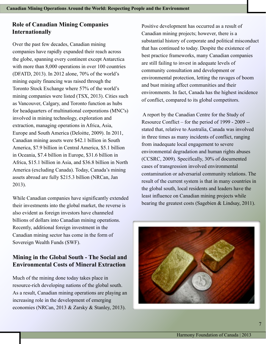# **Role of Canadian Mining Companies Internationally**

Over the past few decades, Canadian mining companies have rapidly expanded their reach across the globe, spanning every continent except Antarctica with more than 8,000 operations in over 100 countries (DFATD, 2013). In 2012 alone, 70% of the world's mining equity financing was raised through the Toronto Stock Exchange where 57% of the world's mining companies were listed (TSX, 2013). Cities such as Vancouver, Calgary, and Toronto function as hubs for headquarters of multinational corporations (MNC's) involved in mining technology, exploration and extraction, managing operations in Africa, Asia, Europe and South America (Deloitte, 2009). In 2011, Canadian mining assets were \$42.1 billion in South America, \$7.9 billion in Central America, \$5.1 billion in Oceania, \$7.4 billion in Europe, \$31.6 billion in Africa, \$15.1 billion in Asia, and \$36.8 billion in North America (excluding Canada). Today, Canada's mining assets abroad are fully \$215.3 billion (NRCan, Jan 2013).

While Canadian companies have significantly extended their investments into the global market, the reverse is also evident as foreign investors have channeled billions of dollars into Canadian mining operations. Recently, additional foreign investment in the Canadian mining sector has come in the form of Sovereign Wealth Funds (SWF).

# **Mining in the Global South - The Social and Environmental Costs of Mineral Extraction**

Much of the mining done today takes place in resource-rich developing nations of the global south. As a result, Canadian mining operations are playing an increasing role in the development of emerging economies (NRCan, 2013 & Zarsky & Stanley, 2013).

Positive development has occurred as a result of Canadian mining projects; however, there is a substantial history of corporate and political misconduct that has continued to today. Despite the existence of best practice frameworks, many Canadian companies are still failing to invest in adequate levels of community consultation and development or environmental protection, letting the ravages of boom and bust mining affect communities and their environments. In fact, Canada has the highest incidence of conflict, compared to its global competitors.

 A report by the Canadian Centre for the Study of Resource Conflict – for the period of 1999 - 2009 - stated that, relative to Australia, Canada was involved in three times as many incidents of conflict, ranging from inadequate local engagement to severe environmental degradation and human rights abuses (CCSRC, 2009). Specifically, 30% of documented cases of transgression involved environmental contamination or adversarial community relations. The result of the current system is that in many countries in the global south, local residents and leaders have the least influence on Canadian mining projects while bearing the greatest costs (Sagebien & Lindsay, 2011).

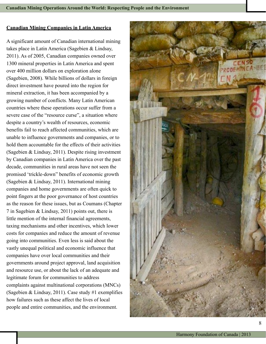#### **Canadian Mining Companies in Latin America**

A significant amount of Canadian international mining takes place in Latin America (Sagebien & Lindsay, 2011). As of 2005, Canadian companies owned over 1300 mineral properties in Latin America and spent over 400 million dollars on exploration alone (Sagebien, 2008). While billions of dollars in foreign direct investment have poured into the region for mineral extraction, it has been accompanied by a growing number of conflicts. Many Latin American countries where these operations occur suffer from a severe case of the "resource curse", a situation where despite a country's wealth of resources, economic benefits fail to reach affected communities, which are unable to influence governments and companies, or to hold them accountable for the effects of their activities (Sagebien & Lindsay, 2011). Despite rising investment by Canadian companies in Latin America over the past decade, communities in rural areas have not seen the promised 'trickle-down" benefits of economic growth (Sagebien & Lindsay, 2011). International mining companies and home governments are often quick to point fingers at the poor governance of host countries as the reason for these issues, but as Coumans (Chapter 7 in Sagebien & Lindsay, 2011) points out, there is little mention of the internal financial agreements, taxing mechanisms and other incentives, which lower costs for companies and reduce the amount of revenue going into communities. Even less is said about the vastly unequal political and economic influence that companies have over local communities and their governments around project approval, land acquisition and resource use, or about the lack of an adequate and legitimate forum for communities to address complaints against multinational corporations (MNCs) (Sagebien & Lindsay, 2011). Case study #1 exemplifies how failures such as these affect the lives of local people and entire communities, and the environment.

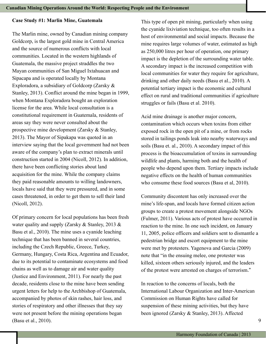#### **Case Study #1: Marlin Mine, Guatemala**

The Marlin mine, owned by Canadian mining company Goldcorp, is the largest gold mine in Central America and the source of numerous conflicts with local communities. Located in the western highlands of Guatemala, the massive project straddles the two Mayan communities of San Miguel Ixtahuacan and Sipacapa and is operated locally by Montana Exploradora, a subsidiary of Goldcorp (Zarsky & Stanley, 2013). Conflict around the mine began in 1999, when Montana Exploradora bought an exploration license for the area. While local consultation is a constitutional requirement in Guatemala, residents of areas say they were never consulted about the prospective mine development (Zarsky & Stanley, 2013). The Mayor of Sipakapa was quoted in an interview saying that the local government had not been aware of the company's plan to extract minerals until construction started in 2004 (Nicoll, 2012). In addition, there have been conflicting stories about land acquisition for the mine. While the company claims they paid reasonable amounts to willing landowners, locals have said that they were pressured, and in some cases threatened, in order to get them to sell their land (Nicoll, 2012).

Of primary concern for local populations has been fresh water quality and supply (Zarsky & Stanley, 2013 & Basu et al., 2010). The mine uses a cyanide leaching technique that has been banned in several countries, including the Czech Republic, Greece, Turkey, Germany, Hungary, Costa Rica, Argentina and Ecuador, due to its potential to contaminate ecosystems and food chains as well as to damage air and water quality (Justice and Environment, 2011). For nearly the past decade, residents close to the mine have been sending urgent letters for help to the Archbishop of Guatemala, accompanied by photos of skin rashes, hair loss, and stories of respiratory and other illnesses that they say were not present before the mining operations began (Basu et al., 2010).

This type of open pit mining, particularly when using the cyanide lixiviation technique, too often results in a host of environmental and social impacts. Because the mine requires large volumes of water, estimated as high as 250,000 litres per hour of operation, one primary impact is the depletion of the surrounding water table. A secondary impact is the increased competition with local communities for water they require for agriculture, drinking and other daily needs (Basu et al., 2010). A potential tertiary impact is the economic and cultural effect on rural and traditional communities if agriculture struggles or fails (Basu et al. 2010).

Acid mine drainage is another major concern, contamination which occurs when toxins from either exposed rock in the open pit of a mine, or from rocks stored in tailings ponds leak into nearby waterways and soils (Basu et. al., 2010). A secondary impact of this process is the bioaccumulation of toxins in surrounding wildlife and plants, harming both and the health of people who depend upon them. Tertiary impacts include negative effects on the health of human communities who consume these food sources (Basu et al, 2010).

Community discontent has only increased over the mine's life-span, and locals have formed citizen action groups to create a protest movement alongside NGOs (Fulmer, 2011). Various acts of protest have occurred in reaction to the mine. In one such incident, on January 11, 2005, police officers and soldiers sent to dismantle a pedestrian bridge and escort equipment to the mine were met by protesters. Yagenova and Garcia (2009) note that "in the ensuing melee, one protester was killed, sixteen others seriously injured, and the leaders of the protest were arrested on charges of terrorism."

In reaction to the concerns of locals, both the International Labour Organization and Inter-American Commission on Human Rights have called for suspension of these mining activities, but they have been ignored (Zarsky & Stanley, 2013). Affected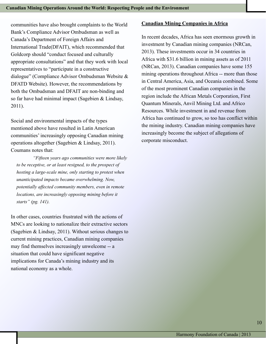communities have also brought complaints to the World Bank's Compliance Advisor Ombudsman as well as Canada's Department of Foreign Affairs and International Trade(DFAIT), which recommended that Goldcorp should "conduct focused and culturally appropriate consultations" and that they work with local representatives to "participate in a constructive dialogue" (Compliance Advisor Ombudsman Website & DFATD Website). However, the recommendations by both the Ombudsman and DFAIT are non-binding and so far have had minimal impact (Sagebien & Lindsay, 2011).

Social and environmental impacts of the types mentioned above have resulted in Latin American communities' increasingly opposing Canadian mining operations altogether (Sagebien & Lindsay, 2011). Coumans notes that:

 *"Fifteen years ago communities were more likely to be receptive, or at least resigned, to the prospect of hosting a large-scale mine, only starting to protest when unanticipated impacts became overwhelming. Now, potentially affected community members, even in remote locations, are increasingly opposing mining before it starts" (pg. 141).* 

In other cases, countries frustrated with the actions of MNCs are looking to nationalize their extractive sectors (Sagebien & Lindsay, 2011). Without serious changes to current mining practices, Canadian mining companies may find themselves increasingly unwelcome -- a situation that could have significant negative implications for Canada's mining industry and its national economy as a whole.

#### **Canadian Mining Companies in Africa**

In recent decades, Africa has seen enormous growth in investment by Canadian mining companies (NRCan, 2013). These investments occur in 34 countries in Africa with \$31.6 billion in mining assets as of 2011 (NRCan, 2013). Canadian companies have some 155 mining operations throughout Africa -- more than those in Central America, Asia, and Oceania combined. Some of the most prominent Canadian companies in the region include the African Metals Corporation, First Quantum Minerals, Anvil Mining Ltd. and Africo Resources. While investment in and revenue from Africa has continued to grow, so too has conflict within the mining industry. Canadian mining companies have increasingly become the subject of allegations of corporate misconduct.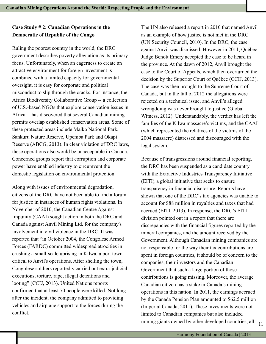# **Case Study # 2: Canadian Operations in the Democratic of Republic of the Congo**

Ruling the poorest country in the world, the DRC government describes poverty alleviation as its primary focus. Unfortunately, when an eagerness to create an attractive environment for foreign investment is combined with a limited capacity for governmental oversight, it is easy for corporate and political misconduct to slip through the cracks. For instance, the Africa Biodiversity Collaborative Group -- a collection of U.S.-based NGOs that explore conservation issues in Africa -- has discovered that several Canadian mining permits overlap established conservation areas. Some of these protected areas include Maiko National Park, Sankuru Nature Reserve, Upemba Park and Okapi Reserve (ABCG, 2013). In clear violation of DRC laws, these operations also would be unacceptable in Canada. Concerned groups report that corruption and corporate power have enabled industry to circumvent the domestic legislation on environmental protection.

Along with issues of environmental degradation, citizens of the DRC have not been able to find a forum for justice in instances of human rights violations. In November of 2010, the Canadian Centre Against Impunity (CAAI) sought action in both the DRC and Canada against Anvil Mining Ltd. for the company's involvement in civil violence in the DRC. It was reported that "in October 2004, the Congolese Armed Forces (FARDC) committed widespread atrocities in crushing a small-scale uprising in Kilwa, a port town critical to Anvil's operations. After shelling the town, Congolese soldiers reportedly carried out extra-judicial executions, torture, rape, illegal detentions and looting" (CCIJ, 2013). United Nations reports confirmed that at least 70 people were killed. Not long after the incident, the company admitted to providing vehicles and airplane support to the forces during the conflict.

The UN also released a report in 2010 that named Anvil as an example of how justice is not met in the DRC (UN Security Council, 2010). In the DRC, the case against Anvil was dismissed. However in 2011, Québec Judge Benoît Emery accepted the case to be heard in the province. At the dawn of 2012, Anvil brought the case to the Court of Appeals, which then overturned the decision by the Superior Court of Québec (CCIJ, 2013). The case was then brought to the Supreme Court of Canada, but in the fall of 2012 the allegations were rejected on a technical issue, and Anvil's alleged wrongdoing was never brought to justice (Global Witness, 2012). Understandably, the verdict has left the families of the Kilwa massacre's victims, and the CAAI (which represented the relatives of the victims of the 2004 massacre) distressed and discouraged with the legal system.

Because of transgressions around financial reporting, the DRC has been suspended as a candidate country with the Extractive Industries Transparency Initiative (EITI), a global initiative that seeks to ensure transparency in financial disclosure. Reports have shown that one of the DRC's tax agencies was unable to account for \$88 million in royalties and taxes that had accrued (EITI, 2013). In response, the DRC's EITI division pointed out in a report that there are discrepancies with the financial figures reported by the mineral companies, and the amount received by the Government. Although Canadian mining companies are not responsible for the way their tax contributions are spent in foreign countries, it should be of concern to the companies, their investors and the Canadian Government that such a large portion of those contributions is going missing. Moreover, the average Canadian citizen has a stake in Canada's mining operations in this nation. In 2011, the earnings accrued by the Canada Pension Plan amounted to \$62.5 million (Imperial Canada, 2011). These investments were not limited to Canadian companies but also included mining giants owned by other developed countries, all  $_{11}$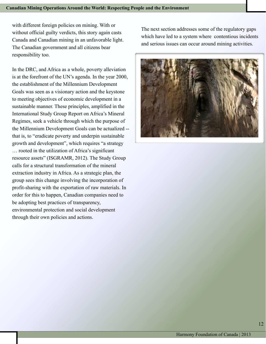with different foreign policies on mining. With or without official guilty verdicts, this story again casts Canada and Canadian mining in an unfavorable light. The Canadian government and all citizens bear responsibility too.

In the DRC, and Africa as a whole, poverty alleviation is at the forefront of the UN's agenda. In the year 2000, the establishment of the Millennium Development Goals was seen as a visionary action and the keystone to meeting objectives of economic development in a sustainable manner. These principles, amplified in the International Study Group Report on Africa's Mineral Regimes, seek a vehicle through which the purpose of the Millennium Development Goals can be actualized - that is, to "eradicate poverty and underpin sustainable growth and development", which requires "a strategy … rooted in the utilization of Africa's significant resource assets" (ISGRAMR, 2012). The Study Group calls for a structural transformation of the mineral extraction industry in Africa. As a strategic plan, the group sees this change involving the incorporation of profit-sharing with the exportation of raw materials. In order for this to happen, Canadian companies need to be adopting best practices of transparency, environmental protection and social development through their own policies and actions.

The next section addresses some of the regulatory gaps which have led to a system where contentious incidents and serious issues can occur around mining activities.

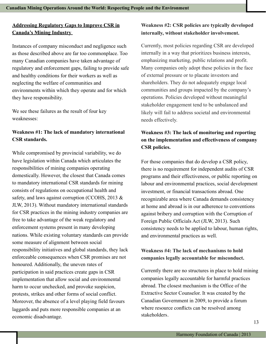#### **Addressing Regulatory Gaps to Improve CSR in Canada's Mining Industry**

Instances of company misconduct and negligence such as those described above are far too commonplace. Too many Canadian companies have taken advantage of regulatory and enforcement gaps, failing to provide safe and healthy conditions for their workers as well as neglecting the welfare of communities and environments within which they operate and for which they have responsibility.

We see these failures as the result of four key weaknesses:

#### **Weakness #1: The lack of mandatory international CSR standards.**

While compromised by provincial variability, we do have legislation within Canada which articulates the responsibilities of mining companies operating domestically. However, the closest that Canada comes to mandatory international CSR standards for mining consists of regulations on occupational health and safety, and laws against corruption (CCOHS, 2013 & JLW, 2013). Without mandatory international standards for CSR practices in the mining industry companies are free to take advantage of the weak regulatory and enforcement systems present in many developing nations. While existing voluntary standards can provide some measure of alignment between social responsibility initiatives and global standards, they lack enforceable consequences when CSR promises are not honoured. Additionally, the uneven rates of participation in said practices create gaps in CSR implementation that allow social and environmental harm to occur unchecked, and provoke suspicion, protests, strikes and other forms of social conflict. Moreover, the absence of a level playing field favours laggards and puts more responsible companies at an economic disadvantage.

# **Weakness #2: CSR policies are typically developed internally, without stakeholder involvement.**

Currently, most policies regarding CSR are developed internally in a way that prioritizes business interests, emphasizing marketing, public relations and profit. Many companies only adopt these policies in the face of external pressure or to placate investors and shareholders. They do not adequately engage local communities and groups impacted by the company's operations. Policies developed without meaningful stakeholder engagement tend to be unbalanced and likely will fail to address societal and environmental needs effectively.

# **Weakness #3: The lack of monitoring and reporting on the implementation and effectiveness of company CSR policies.**

For those companies that do develop a CSR policy, there is no requirement for independent audits of CSR programs and their effectiveness, or public reporting on labour and environmental practices, social development investment, or financial transactions abroad. One recognizable area where Canada demands consistency at home and abroad is in our adherence to conventions against bribery and corruption with the Corruption of Foreign Public Officials Act (JLW, 2013). Such consistency needs to be applied to labour, human rights, and environmental practices as well.

## **Weakness #4: The lack of mechanisms to hold companies legally accountable for misconduct.**

Currently there are no structures in place to hold mining companies legally accountable for harmful practices abroad. The closest mechanism is the Office of the Extractive Sector Counselor. It was created by the Canadian Government in 2009, to provide a forum where resource conflicts can be resolved among stakeholders.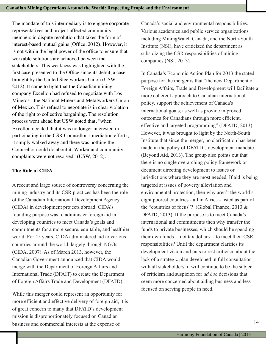The mandate of this intermediary is to engage corporate representatives and project-affected community members in dispute resolution that takes the form of interest-based mutual gains (Office, 2012). However, it is not within the legal power of the office to ensure that workable solutions are achieved between the stakeholders. This weakness was highlighted with the first case presented to the Office since its debut, a case brought by the United Steelworkers Union (USW, 2012). It came to light that the Canadian mining company Excellon had refused to negotiate with Los Mineros - the National Miners and Metalworkers Union of Mexico. This refusal to negotiate is in clear violation of the right to collective bargaining. The resolution process went ahead but USW noted that, "when Excellon decided that it was no longer interested in participating in the CSR Counsellor's mediation efforts, it simply walked away and there was nothing the Counsellor could do about it. Worker and community complaints were not resolved" (USW, 2012).

#### **The Role of CIDA**

A recent and large source of controversy concerning the mining industry and its CSR practices has been the role of the Canadian International Development Agency (CIDA) in development projects abroad. CIDA's founding purpose was to administer foreign aid in developing countries to meet Canada's goals and commitments for a more secure, equitable, and healthier world. For 45 years, CIDA administered aid to various countries around the world, largely through NGOs (CIDA, 2007). As of March 2013, however, the Canadian Government announced that CIDA would merge with the Department of Foreign Affairs and International Trade (DFAIT) to create the Department of Foreign Affairs Trade and Development (DFATD).

While this merger could represent an opportunity for more efficient and effective delivery of foreign aid, it is of great concern to many that DFATD's development mission is disproportionately focused on Canadian business and commercial interests at the expense of

Canada's social and environmental responsibilities. Various academics and public service organizations including MiningWatch Canada, and the North-South Institute (NSI), have criticized the department as subsidizing the CSR responsibilities of mining companies (NSI, 2013).

In Canada's Economic Action Plan for 2013 the stated purpose for the merger is that "the new Department of Foreign Affairs, Trade and Development will facilitate a more coherent approach to Canadian international policy, support the achievement of Canada's international goals, as well as provide improved outcomes for Canadians through more efficient, effective and targeted programming" (DFATD, 2013). However, it was brought to light by the North-South Institute that since the merger, no clarification has been made in the policy of DFATD's development mandate (Beyond Aid, 2013). The group also points out that there is no single overarching policy framework or document directing development to issues or jurisdictions where they are most needed. If aid is being targeted at issues of poverty alleviation and environmental protection, then why aren't the world's eight poorest countries - all in Africa - listed as part of the "countries of focus"? (Global Finance, 2013 & DFATD, 2013). If the purpose is to meet Canada's international aid commitments then why transfer the funds to private businesses, which should be spending their own funds -- not tax dollars -- to meet their CSR responsibilities? Until the department clarifies its development vision and puts to rest criticism about the lack of a strategic plan developed in full consultation with all stakeholders, it will continue to be the subject of criticism and suspicion for *ad hoc* decisions that seem more concerned about aiding business and less focused on serving people in need.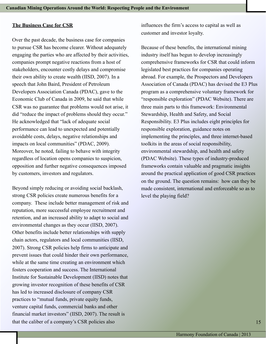#### **The Business Case for CSR**

Over the past decade, the business case for companies to pursue CSR has become clearer. Without adequately engaging the parties who are affected by their activities, companies prompt negative reactions from a host of stakeholders, encounter costly delays and compromise their own ability to create wealth (IISD, 2007). In a speech that John Baird, President of Petroleum Developers Association Canada (PDAC), gave to the Economic Club of Canada in 2009, he said that while CSR was no guarantee that problems would not arise, it did "reduce the impact of problems should they occur." He acknowledged that "lack of adequate social performance can lead to unexpected and potentially avoidable costs, delays, negative relationships and impacts on local communities" (PDAC, 2009). Moreover, he noted, failing to behave with integrity regardless of location opens companies to suspicion, opposition and further negative consequences imposed by customers, investors and regulators.

Beyond simply reducing or avoiding social backlash, strong CSR policies create numerous benefits for a company. These include better management of risk and reputation, more successful employee recruitment and retention, and an increased ability to adapt to social and environmental changes as they occur (IISD, 2007). Other benefits include better relationships with supply chain actors, regulators and local communities (IISD, 2007). Strong CSR policies help firms to anticipate and prevent issues that could hinder their own performance, while at the same time creating an environment which fosters cooperation and success. The International Institute for Sustainable Development (IISD) notes that growing investor recognition of these benefits of CSR has led to increased disclosure of company CSR practices to "mutual funds, private equity funds, venture capital funds, commercial banks and other financial market investors" (IISD, 2007). The result is that the caliber of a company's CSR policies also

influences the firm's access to capital as well as customer and investor loyalty.

Because of these benefits, the international mining industry itself has begun to develop increasingly comprehensive frameworks for CSR that could inform legislated best practices for companies operating abroad. For example, the Prospectors and Developers Association of Canada (PDAC) has devised the E3 Plus program as a comprehensive voluntary framework for "responsible exploration" (PDAC Website). There are three main parts to this framework: Environmental Stewardship, Health and Safety, and Social Responsibility. E3 Plus includes eight principles for responsible exploration, guidance notes on implementing the principles, and three internet-based toolkits in the areas of social responsibility, environmental stewardship, and health and safety (PDAC Website). These types of industry-produced frameworks contain valuable and pragmatic insights around the practical application of good CSR practices on the ground. The question remains: how can they be made consistent, international and enforceable so as to level the playing field?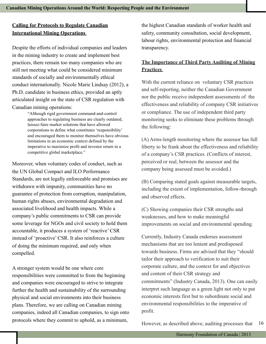# **Calling for Protocols to Regulate Canadian International Mining Operations**

Despite the efforts of individual companies and leaders in the mining industry to create and implement best practices, there remain too many companies who are still not meeting what could be considered minimum standards of socially and environmentally ethical conduct internationally. Nicole Marie Lindsay (2012), a Ph.D. candidate in business ethics, provided an aptly articulated insight on the state of CSR regulation with Canadian mining operations:

> "Although rigid government command-and-control approaches to regulating business are clearly outdated, laissez-faire market solutions that have allowed corporations to define what constitutes 'responsibility' and encouraged them to monitor themselves have obvious limitations in an economic context defined by the imperative to maximize profit and investor return in a competitive global marketplace."

Moreover, when voluntary codes of conduct, such as the UN Global Compact and ILO Performance Standards, are not legally enforceable and promises are withdrawn with impunity, communities have no guarantee of protection from corruption, manipulation, human rights abuses, environmental degradation and associated livelihood and health impacts. While a company's public commitments to CSR can provide some leverage for NGOs and civil society to hold them accountable, it produces a system of 'reactive' CSR instead of 'proactive' CSR. It also reinforces a culture of doing the minimum required, and only when compelled.

A stronger system would be one where core responsibilities were committed to from the beginning and companies were encouraged to strive to integrate further the health and sustainability of the surrounding physical and social environments into their business plans. Therefore, we are calling on Canadian mining companies, indeed all Canadian companies, to sign onto protocols where they commit to uphold, as a minimum,

the highest Canadian standards of worker health and safety, community consultation, social development, labour rights, environmental protection and financial transparency.

### **The Importance of Third Party Auditing of Mining Practices**

With the current reliance on voluntary CSR practices and self-reporting, neither the Canadian Government nor the public receive independent assessments of the effectiveness and reliability of company CSR initiatives or compliance. The use of independent third party monitoring seeks to eliminate these problems through the following:

(A) Arms-length monitoring where the assessor has full liberty to be frank about the effectiveness and reliability of a company's CSR practices. (Conflicts of interest, perceived or real, between the assessor and the company being assessed must be avoided.)

(B) Comparing stated goals against measurable targets, including the extent of implementation, follow-through and observed effects.

(C) Showing companies their CSR strengths and weaknesses, and how to make meaningful improvements on social and environmental spending.

Currently, Industry Canada endorses assessment mechanisms that are too lenient and predisposed towards business. Firms are advised that they "should tailor their approach to verification to suit their corporate culture, and the context for and objectives and content of their CSR strategy and commitments" (Industry Canada, 2013). One can easily interpret such language as a green light not only to put economic interests first but to subordinate social and environmental responsibilities to the imperative of profit.

However, as described above, auditing processes that 16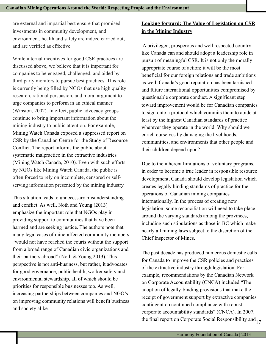are external and impartial best ensure that promised investments in community development, and environment, health and safety are indeed carried out, and are verified as effective.

While internal incentives for good CSR practices are discussed above, we believe that it is important for companies to be engaged, challenged, and aided by third party monitors to pursue best practices. This role is currently being filled by NGOs that use high quality research, rational persuasion, and moral argument to urge companies to perform in an ethical manner (Winston, 2002). In effect, public advocacy groups continue to bring important information about the mining industry to public attention. For example, Mining Watch Canada exposed a suppressed report on CSR by the Canadian Centre for the Study of Resource Conflict. The report informs the public about systematic malpractice in the extractive industries (Mining Watch Canada, 2010). Even with such efforts by NGOs like Mining Watch Canada, the public is often forced to rely on incomplete, censored or selfserving information presented by the mining industry.

This situation leads to unnecessary misunderstanding and conflict. As well, Noth and Young (2013) emphasize the important role that NGOs play in providing support to communities that have been harmed and are seeking justice. The authors note that many legal cases of mine-affected community members "would not have reached the courts without the support from a broad range of Canadian civic organizations and their partners abroad" (Noth & Young 2013). This perspective is not anti-business, but rather, it advocates for good governance, public health, worker safety and environmental stewardship, all of which should be priorities for responsible businesses too. As well, increasing partnerships between companies and NGO's on improving community relations will benefit business and society alike.

# **Looking forward: The Value of Legislation on CSR in the Mining Industry**

 A privileged, prosperous and well respected country like Canada can and should adopt a leadership role in pursuit of meaningful CSR. It is not only the morally appropriate course of action; it will be the most beneficial for our foreign relations and trade ambitions as well. Canada's good reputation has been tarnished and future international opportunities compromised by questionable corporate conduct. A significant step toward improvement would be for Canadian companies to sign onto a protocol which commits them to abide at least by the highest Canadian standards of practice wherever they operate in the world. Why should we enrich ourselves by damaging the livelihoods, communities, and environments that other people and their children depend upon?

Due to the inherent limitations of voluntary programs, in order to become a true leader in responsible resource development, Canada should develop legislation which creates legally binding standards of practice for the operations of Canadian mining companies internationally. In the process of creating new legislation, some reconciliation will need to take place around the varying standards among the provinces, including such stipulations as those in BC which make nearly all mining laws subject to the discretion of the Chief Inspector of Mines.

The past decade has produced numerous domestic calls for Canada to improve the CSR policies and practices of the extractive industry through legislation. For example, recommendations by the Canadian Network on Corporate Accountability (CNCA) included "The adoption of legally-binding provisions that make the receipt of government support by extractive companies contingent on continued compliance with robust corporate accountability standards" (CNCA). In 2007, the final report on Corporate Social Responsibility and  $_{17}$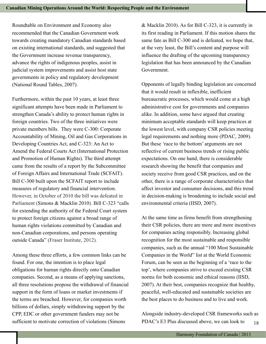Roundtable on Environment and Economy also recommended that the Canadian Government work towards creating mandatory Canadian standards based on existing international standards, and suggested that the Government increase revenue transparency, advance the rights of indigenous peoples, assist in judicial system improvements and assist host state governments in policy and regulatory development (National Round Tables, 2007).

Furthermore, within the past 10 years, at least three significant attempts have been made in Parliament to strengthen Canada's ability to protect human rights in foreign countries. Two of the three initiatives were private members bills. They were C-300: Corporate Accountability of Mining, Oil and Gas Corporations in Developing Countries Act, and C-323: An Act to Amend the Federal Courts Act (International Protection and Promotion of Human Rights). The third attempt came from the results of a report by the Subcommittee of Foreign Affairs and International Trade (SCFAIT). Bill C-300 built upon the SCFAIT report to include measures of regulatory and financial intervention. However, in October of 2010 the bill was defeated in Parliament (Simons & Macklin 2010). Bill C-323 "calls for extending the authority of the Federal Court system to protect foreign citizens against a broad range of human rights violations committed by Canadian and non-Canadian corporations, and persons operating outside Canada" (Fraser Institute, 2012).

Among these three efforts, a few common links can be found. For one, the intention is to place legal obligations for human rights directly onto Canadian companies. Second, as a means of applying sanctions, all three resolutions propose the withdrawal of financial support in the form of loans or market investments if the terms are breached. However, for companies worth billions of dollars, simply withdrawing support by the CPP, EDC or other government funders may not be sufficient to motivate correction of violations (Simons

& Macklin 2010). As for Bill C-323, it is currently in its first reading in Parliament. If this motion shares the same fate as Bill C-300 and is defeated, we hope that, at the very least, the Bill's content and purpose will influence the drafting of the upcoming transparency legislation that has been announced by the Canadian Government.

Opponents of legally binding legislation are concerned that it would result in inflexible, inefficient bureaucratic processes, which would come at a high administrative cost for governments and companies alike. In addition, some have argued that creating minimum acceptable standards will keep practices at the lowest level, with company CSR policies meeting legal requirements and nothing more (PDAC, 2009). But these 'race to the bottom' arguments are not reflective of current business trends or rising public expectations. On one hand, there is considerable research showing the benefit that companies and society receive from good CSR practices, and on the other, there is a range of corporate characteristics that affect investor and consumer decisions, and this trend in decision-making is broadening to include social and environmental criteria (IISD, 2007).

At the same time as firms benefit from strengthening their CSR policies, there are more and more incentives for companies acting responsibly. Increasing global recognition for the most sustainable and responsible companies, such as the annual "100 Most Sustainable Companies in the World" list at the World Economic Forum, can be seen as the beginning of a 'race to the top', where companies strive to exceed existing CSR norms for both economic and ethical reasons (IISD, 2007). At their best, companies recognize that healthy, peaceful, well-educated and sustainable societies are the best places to do business and to live and work.

Alongside industry-developed CSR frameworks such as PDAC's E3 Plus discussed above, we can look to  $18$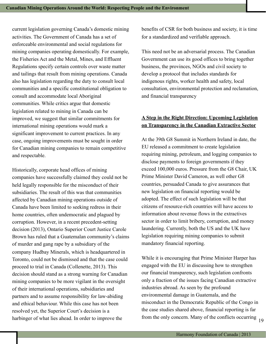current legislation governing Canada's domestic mining activities. The Government of Canada has a set of enforceable environmental and social regulations for mining companies operating domestically. For example, the Fisheries Act and the Metal, Mines, and Effluent Regulations specify certain controls over waste matter and tailings that result from mining operations. Canada also has legislation regarding the duty to consult local communities and a specific constitutional obligation to consult and accommodate local Aboriginal communities. While critics argue that domestic legislation related to mining in Canada can be improved, we suggest that similar commitments for international mining operations would mark a significant improvement to current practices. In any case, ongoing improvements must be sought in order for Canadian mining companies to remain competitive and respectable.

Historically, corporate head offices of mining companies have successfully claimed they could not be held legally responsible for the misconduct of their subsidiaries. The result of this was that communities affected by Canadian mining operations outside of Canada have been limited to seeking redress in their home countries, often undemocratic and plagued by corruption. However, in a recent precedent-setting decision (2013), Ontario Superior Court Justice Carole Brown has ruled that a Guatemalan community's claims of murder and gang rape by a subsidiary of the company Hudbay Minerals, which is headquartered in Toronto, could not be dismissed and that the case could proceed to trial in Canada (Collenette, 2013). This decision should stand as a strong warning for Canadian mining companies to be more vigilant in the oversight of their international operations, subsidiaries and partners and to assume responsibility for law-abiding and ethical behaviour. While this case has not been resolved yet, the Superior Court's decision is a harbinger of what lies ahead. In order to improve the

benefits of CSR for both business and society, it is time for a standardized and verifiable approach.

This need not be an adversarial process. The Canadian Government can use its good offices to bring together business, the provinces, NGOs and civil society to develop a protocol that includes standards for indigenous rights, worker health and safety, local consultation, environmental protection and reclamation, and financial transparency

## **A Step in the Right Direction: Upcoming Legislation on Transparency in the Canadian Extractive Sector**

At the 39th G8 Summit in Northern Ireland in date, the EU released a commitment to create legislation requiring mining, petroleum, and logging companies to disclose payments to foreign governments if they exceed 100,000 euros. Pressure from the G8 Chair, UK Prime Minister David Cameron, as well other G8 countries, persuaded Canada to give assurances that new legislation on financial reporting would be adopted. The effect of such legislation will be that citizens of resource-rich countries will have access to information about revenue flows in the extractives sector in order to limit bribery, corruption, and money laundering. Currently, both the US and the UK have legislation requiring mining companies to submit mandatory financial reporting.

While it is encouraging that Prime Minister Harper has engaged with the EU in discussing how to strengthen our financial transparency, such legislation confronts only a fraction of the issues facing Canadian extractive industries abroad. As seen by the profound environmental damage in Guatemala, and the misconduct in the Democratic Republic of the Congo in the case studies shared above, financial reporting is far from the only concern. Many of the conflicts occurring  $_{19}$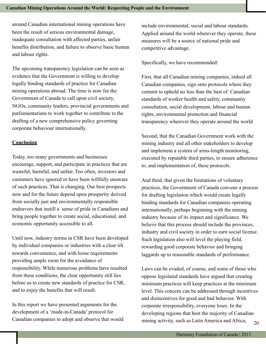around Canadian international mining operations have been the result of serious environmental damage, inadequate consultation with affected parties, unfair benefits distribution, and failure to observe basic human and labour rights.

The upcoming transparency legislation can be seen as evidence that the Government is willing to develop legally binding standards of practice for Canadian mining operations abroad. The time is now for the Government of Canada to call upon civil society, NGOs, community leaders, provincial governments and parliamentarians to work together to contribute to the drafting of a new comprehensive policy governing corporate behaviour internationally.

#### **Conclusion**

Today, too many governments and businesses encourage, support, and participate in practices that are wasteful, harmful, and unfair. Too often, investors and customers have ignored or have been willfully unaware of such practices. That is changing. Our best prospects now and for the future depend upon prosperity derived from socially just and environmentally responsible endeavors that instill a sense of pride in Canadians and bring people together to create social, educational, and economic opportunity accessible to all.

Until now, industry norms in CSR have been developed by individual companies or industries with a clear tilt towards convenience, and with loose requirements providing ample room for the avoidance of responsibility. While numerous problems have resulted from these conditions, the clear opportunity still lies before us to create new standards of practice for CSR, and to enjoy the benefits that will result.

In this report we have presented arguments for the development of a 'made-in-Canada' protocol for Canadian companies to adopt and observe that would

include environmental, social and labour standards. Applied around the world wherever they operate, these measures will be a source of national pride and competitive advantage.

Specifically, we have recommended:

First, that all Canadian mining companies, indeed all Canadian companies, sign onto protocols where they commit to uphold no less than the best of Canadian standards of worker health and safety, community consultation, social development, labour and human rights, environmental protection and financial transparency wherever they operate around the world.

Second, that the Canadian Government work with the mining industry and all other stakeholders to develop and implement a system of arms-length monitoring, executed by reputable third parties, to ensure adherence to, and implementation of, these protocols.

And third, that given the limitations of voluntary practices, the Government of Canada convene a process for drafting legislation which would create legally binding standards for Canadian companies operating internationally, perhaps beginning with the mining industry because of its impact and significance. We believe that this process should include the provinces, industry and civil society in order to earn social license. Such legislation also will level the playing field, rewarding good corporate behavior and bringing laggards up to reasonable standards of performance.

Laws can be evaded, of course, and some of those who oppose legislated standards have argued that creating minimum practices will keep practices at the minimum level. This concern can be addressed through incentives and disincentives for good and bad behavior. With corporate irresponsibility, everyone loses. In the developing regions that host the majority of Canadian mining activity, such as Latin America and Africa,  $20$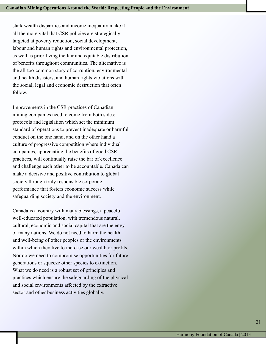stark wealth disparities and income inequality make it all the more vital that CSR policies are strategically targeted at poverty reduction, social development, labour and human rights and environmental protection, as well as prioritizing the fair and equitable distribution of benefits throughout communities. The alternative is the all-too-common story of corruption, environmental and health disasters, and human rights violations with the social, legal and economic destruction that often follow.

Improvements in the CSR practices of Canadian mining companies need to come from both sides: protocols and legislation which set the minimum standard of operations to prevent inadequate or harmful conduct on the one hand, and on the other hand a culture of progressive competition where individual companies, appreciating the benefits of good CSR practices, will continually raise the bar of excellence and challenge each other to be accountable. Canada can make a decisive and positive contribution to global society through truly responsible corporate performance that fosters economic success while safeguarding society and the environment.

Canada is a country with many blessings, a peaceful well-educated population, with tremendous natural, cultural, economic and social capital that are the envy of many nations. We do not need to harm the health and well-being of other peoples or the environments within which they live to increase our wealth or profits. Nor do we need to compromise opportunities for future generations or squeeze other species to extinction. What we do need is a robust set of principles and practices which ensure the safeguarding of the physical and social environments affected by the extractive sector and other business activities globally.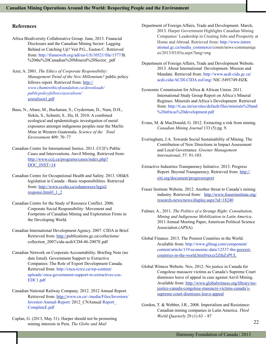#### **References**

- Africa Biodiversity Collaborative Group. June, 2013. Financial Disclosure and the Canadian Mining Sector: Lagging Behind or Catching Up? Veit P.G., Easton C. Retrieved from: [http://frameweb.org/adl/en-US/10521/file/1577/B](http://frameweb.org/adl/en-US/10521/file/1577/B.1%20Financial%20Disclosure%20and%20the%20Canadian%20Mineral%20Sector_.pdf). %20the%20Canadian%20Mineral%20Sector\_.pdf
- Azer, A. 2001. *The Ethics of Corporate Responsibility: Management Trend of the New Millennium?* public policy fellows report. Retrieved from: [http://](http://www.chumirethicsfoundation.ca/downloads/publicpolicyfellows/azeralison/azeralison1.pdf) *[www.chumirethicsfoundation.ca/downloads/](http://www.chumirethicsfoundation.ca/downloads/publicpolicyfellows/azeralison/)  [publicpolicyfellows/azeralison/](http://www.chumirethicsfoundation.ca/downloads/publicpolicyfellows/azeralison/)* azeralison1.pdf
- Basu, N., Abare, M., Buchanan, S., Cryderman, D., Nam, D.H., Sirkin, S., Schmitt, S., Hu, H. 2010. A combined ecological and epidemiologic investigation of metal exposures amongst indigenous peoples near the Marlin Mine in Western Guatemala. *Science of the Total Environment* 409: 70–77
- Canadian Centre for International Justice. 2013. CCIJ's Public Cases and Interventions. Anvil Mining. Retrieved from: [http://www.ccij.ca/programs/cases/index.php?](http://www.ccij.ca/programs/cases/index.php?DOC_INST=14) [DOC\\_INST=14](http://www.ccij.ca/programs/cases/index.php?DOC_INST=14)
- Canadian Centre for Occupational Health and Safety. 2013. OH&S legislation in Canada - Basic responsibilities. Retrieved from: [http://www.ccohs.ca/oshanswers/legisl/](http://www.ccohs.ca/oshanswers/legisl/responsi.html#_1_2) responsi.html#\_1\_2
- Canadian Centre for the Study of Resource Conflict. 2006. Corporate Social Responsibility: Movement and Footprints of Canadian Mining and Exploration Firms in the Developing World.
- Canadian International Development Agency. 2007. CIDA in Brief. Retrieved from: [http://p](http://publications.gc.ca/collections/collection_2007/cida-acdi/CD4-46-2007E.pdf)ublications.gc.ca/collections/ collection\_2007/cida-acdi/CD4-46-2007E.pdf
- Canadian Network on Corporate Accountability. Briefing Note (no date listed). Government Support to Extractive Companies: The Role of Export Development Canada. Retrieved from: [http://cnca-rcrce.ca/wp-content/](http://cnca-rcrce.ca/wp-content/uploads/cnca-government-support-to-extractives-cos-EDC1.pdf)  [uploads/](http://cnca-rcrce.ca/wp-content/uploads/cnca-government-support-to-extractives-cos-EDC1.pdf) cnca-government-support-to-extractives-cos-EDC1.pdf
- Canadian National Railway Company. 2012. 2012 Annual Report. Retrieved from: [http://www.cn.ca/-/media/Files/Investors/](http://www.cn.ca/-/media/Files/Investors/Investor-Annual-Report/2012_CNAnnualReport_CompleteE.pdf)  Investor-Annual-Report/ 2012\_CNAnnual Report\_ CompleteE.pdf
- Caplan, G. (2013, May 31). Harper should not be promoting mining interests in Peru. *The Globe and Mail*
- Department of Foreign Affairs, Trade and Development. March, 2013. Harper Government Highlights Canadian Mining Companies' Leadership in Creating Jobs and Prosperity at Home and Abroad. Retrieved from: [http://www.intern](http://www.international.gc.ca/media_commerce/comm/news-communiques/2013/03/03a.aspx?lang=eng)   [ational.gc.ca/media\\_commerce/c](http://www.international.gc.ca/media_commerce/comm/news-communiques/2013/03/03a.aspx?lang=eng)omm/news-communiqu es/2013/03/03a.aspx?lang=eng
- Department of Foreign Affairs, Trade and Development Website. 2013. About International Development: Mission and Mandate. Retrieved from: [http://www.acdi-cida.gc.ca/](http://www.acdi-cida.gc.ca/acdi-cida/ACDI-CIDA.nsf/eng/NIC-5493749-HZK) acdi-cida/ACDI-CIDA.nsf/eng/ NIC-5493749-HZK
- Economic Commission for Africa & African Union. 2011. International Study Group Report on Africa's Mineral Regimes. Minerals and Africa's Development. Retrieved from: [http://ti.au.int/en/sites/default/files/minirals%20and](http://ti.au.int/en/sites/default/files/minirals%20and%20africas%20development.pdf) %20africas%20development.pdf
- Evans, M. & MacDonald, G. 2012. Extracting a risk from mining. *Canadian Mining Journal* 133 (5) pg. 9.
- Everingham, J.A. Towards Social Sustainability of Mining. The Contribution of New Directions in Impact Assessment and Local Governance. *Greener Management International*, 57: 91-103.
- Extractive Industries Transparency Initiative. 2013. Progress Report. Beyond Transparency. Retrieved from: [http://](http://eiti.org/document/progressreport) eiti.org/document/progressreport
- Fraser Institute Website. 2012. Another threat to Canada's mining industry. Retrieved from: [http://www.fraserinstitute.org/](http://www.fraserinstitute.org/research-news/news/display.aspx?id=18240) research-news/news/display.aspx?id=18240
- Fulmer, A., 2011. *The Politics of a Strange Right: Consultation, Mining and Indigenous Mobilization in Latin America*. 2011 Annual Meeting Paper, American Political Science Association (APSA)
- Global Finance. 2013. The Poorest Countries in the World. Available from: [http://www.gfmag.com/component/](http://www.gfmag.com/component/content/article/119-economic-data/12537-the-poorest-countries-in-the-world.html#axzz2ZthZzPUL) content/article/119-economic-data/12537-the-poorestcountries-in-the-world.html#axzz2ZthZzPUL
- Global Witness Website. Nov, 2012. No justice in Canada for Congolese massacre victims as Canada's Supreme Court dismisses leave of appeal in case against Anvil Mining. Available from: [http://www.globalwitness.org/library/no](http://www.globalwitness.org/library/no-justice-canada-congolese-massacre-victims-canada)[justice-canada-congolese-massacre-victims-canada's](http://www.globalwitness.org/library/no-justice-canada-congolese-massacre-victims-canada)[supreme-court-dismisses-leave-appeal](http://www.globalwitness.org/library/no-justice-canada-congolese-massacre-victims-canada)
- Gordon, T. & Webber, J.R., 2008. Imperialism and Resistance: Canadian mining companies in Latin America. *Third World Quarterly* 29 (1) 63 – 87

22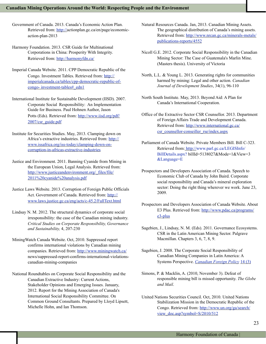#### **Canadian Mining Operations Around the World: Respecting People and the Environment**

- Government of Canada. 2013. Canada's Economic Action Plan. Retrieved from: [http://a](http://actionplan.gc.ca/en/page/economic-action-plan-2013)ctionplan.gc.ca/en/page/economicaction-plan-2013
- Harmony Foundation. 2013. CSR Guide for Multinational Corporations in China: Prosperity With Integrity. Retrieved from:<http://harmonyfdn.ca/>
- Imperial Canada Website. 2011. CPP Democratic Republic of the Congo. Investment Tables. Retrieved from: [http://](http://imperialcanada.ca/tables/cpp-democratic-republic-of-congo-investment-tables#_edn1) imperialcanada.ca/tables/cpp-democratic-republic-ofcongo- investment-tables#\_edn1
- International Institute for Sustainable Development (IISD). 2007. Corporate Social Responsibility: An Implementation Guide for Business. Paul Hohnen Author, Jason Potts (Eds). Retrieved from: [http://www.iisd.org/pdf/](http://www.iisd.org/pdf/2007/csr_guide.pdf) 2007/csr\_guide.pdf
- Institute for Securities Studies. May, 2013. Clamping down on Africa's extractive industries. Retrieved from: [http://](http://www.issafrica.org/iss-today/clamping-down-on-corruption-in-africas-extractive-industries) [www.issafrica.org/iss-today/clamping-down-on](http://www.issafrica.org/iss-today/clamping-down-on-corruption-in-africas-extractive-industries)[corruption-in-a](http://www.issafrica.org/iss-today/clamping-down-on-corruption-in-africas-extractive-industries)fricas-extractive-industries
- Justice and Environment. 2011. Banning Cyanide from Mining in the European Union, Legal Analysis. Retrieved from: [http://www.justiceandenvironment.org/\\_files/file/](http://www.justiceandenvironment.org/_files/file/2011%20cyanide%20analysis.pdf) 2011%20cyanide%20analysis.pdf
- Justice Laws Website. 2013. Corruption of Foreign Public Officials Act. Government of Canada. Retrieved from: [http://](http://www.laws.justice.gc.ca/eng/acts/c-45.2/FullText.html) [www.laws.justice.gc.ca/eng/acts/c-45.2/FullText.html](http://www.laws.justice.gc.ca/eng/acts/c-45.2/FullText.html)
- Lindsay N. M. 2012. The structural dynamics of corporate social irresponsibility: the case of the Canadian mining industry. *Critical Studies on Corporate Responsibility, Governance and Sustainability,* 4, 207-230
- MiningWatch Canada Website. Oct, 2010. Suppressed report confirms international violations by Canadian mining companies. Retrieved from: [http://www.miningwatch.ca/](http://www.miningwatch.ca/news/suppressed-report-confirms-international-violations-canadian-mining-companies)  news/suppressed-report-confirms-international-violationscanadian-mining-companies
- National Roundtables on Corporate Social Responsibility and the Canadian Extractive Industry: Current Actions, Stakeholder Opinions and Emerging Issues. January, 2012. Report for the Mining Association of Canada's International Social Responsibility Committee. On Common Ground Consultants. Prepared by Lloyd Lipsett, Michelle Hohn, and Ian Thomson.
- Natural Resources Canada. Jan, 2013. Canadian Mining Assets. The geographical distribution of Canada's mining assets. Retrieved from: [http://www.nrcan.gc.ca/minerals-metals/](http://www.nrcan.gc.ca/minerals-metals/publications-reports/4552) publications-reports/4552
- Nicoll G.E. 2012. Corporate Social Responsibility in the Canadian Mining Sector: The Case of Guatemala's Marlin Mine. (Masters thesis). University of Victoria
- North, L.L. & Young L. 2013. Generating rights for communities harmed by mining: Legal and other action. *Canadian Journal of Development Studies*, 34(1), 96-110
- North South Institute. May, 2013. Beyond Aid: A Plan for Canada's International Cooperation.
- Office of the Extractive Sector CSR Counsellor. 2013. Department of Foreign Affairs Trade and Development Canada. Retrieved from: [http://www.international.gc.ca/](http://www.international.gc.ca/csr_counsellor-conseiller_rse/index.aspx) csr\_counsellor-conseiller\_rse/index.aspx
- Parliament of Canada Website. Private Members Bill. Bill C-323. Retrieved from[: http://www.parl.gc.ca/LEGISInfo/](http://www.parl.gc.ca/LEGISInfo/BillDetails.aspx?billId=5138027&Mode=1&View=3&Language=E)  [BillDetails.aspx?](http://www.parl.gc.ca/LEGISInfo/BillDetails.aspx?billId=5138027&Mode=1&View=3&Language=E) billId=5138027&Mode=1&View=3 &Language=E
- Prospectors and Developers Association of Canada. Speech to Economic Club of Canada by John Baird. Corporate social responsibility and Canada's mineral exploration sector: Doing the right thing wherever we work. June 23, 2009.
- Prospectors and Developers Association of Canada Website. About E3 Plus. Retrieved from: [http://www.pdac.ca/programs/](http://www.pdac.ca/programs/e3-plus) e3-plus
- Sagebien, J., Lindsay, N. M. (Eds). 2011. Governance Ecosystems. CSR in the Latin American Mining Sector. Palgrave Macmillan. Chapters 3, 6, 7, 8, 9.
- Sagebien, J. 2008. The Corporate Social Responsibility of Canadian Mining Companies in Latin America: A Systems Perspective. *[Canadian Foreign Policy](http://ca.vlex.com/source/canadian-foreign-policy-4091)* [14 \(3\)](http://ca.vlex.com/source/canadian-foreign-policy-4091/issue_nbr/%2314%233)
- Simons, P. & Macklin, A. (2010, November 3). Defeat of responsible mining bill is missed opportunity. *The Globe and Mail*.
- United Nations Securities Council. Oct, 2010. United Nations Stabilization Mission in the Democratic Republic of the Congo. Retrieved from: [http://www.un.org/ga/search/](http://www.un.org/ga/search/view_doc.asp?symbol=S/2010/512) view\_doc.asp?symbol=S/2010/512